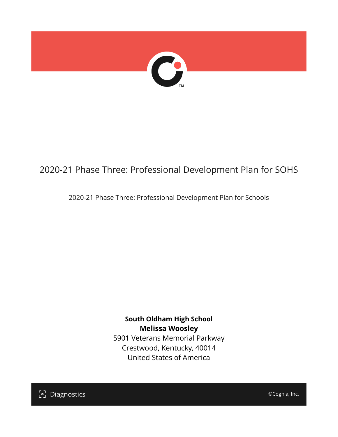

## 2020-21 Phase Three: Professional Development Plan for SOHS

2020-21 Phase Three: Professional Development Plan for Schools

**South Oldham High School Melissa Woosley** 5901 Veterans Memorial Parkway Crestwood, Kentucky, 40014 United States of America

[၁] Diagnostics

©Cognia, Inc.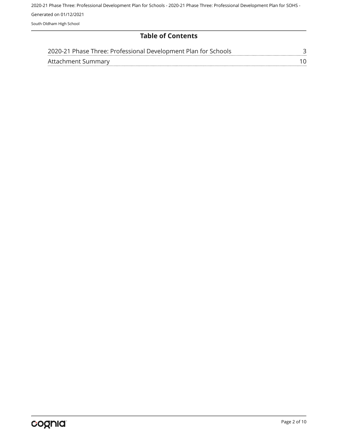### **Table of Contents**

| 2020-21 Phase Three: Professional Development Plan for Schools |  |
|----------------------------------------------------------------|--|
| Attachment Summary                                             |  |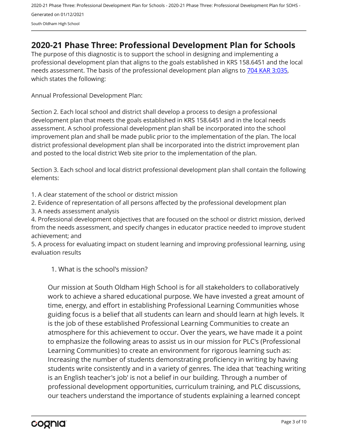## <span id="page-2-0"></span>**2020-21 Phase Three: Professional Development Plan for Schools**

The purpose of this diagnostic is to support the school in designing and implementing a professional development plan that aligns to the goals established in KRS 158.6451 and the local needs assessment. The basis of the professional development plan aligns to [704 KAR 3:035,](https://apps.legislature.ky.gov/Law/kar/704/003/035.pdf) which states the following:

Annual Professional Development Plan:

Section 2. Each local school and district shall develop a process to design a professional development plan that meets the goals established in KRS 158.6451 and in the local needs assessment. A school professional development plan shall be incorporated into the school improvement plan and shall be made public prior to the implementation of the plan. The local district professional development plan shall be incorporated into the district improvement plan and posted to the local district Web site prior to the implementation of the plan.

Section 3. Each school and local district professional development plan shall contain the following elements:

1. A clear statement of the school or district mission

2. Evidence of representation of all persons affected by the professional development plan

3. A needs assessment analysis

4. Professional development objectives that are focused on the school or district mission, derived from the needs assessment, and specify changes in educator practice needed to improve student achievement; and

5. A process for evaluating impact on student learning and improving professional learning, using evaluation results

1. What is the school's mission?

Our mission at South Oldham High School is for all stakeholders to collaboratively work to achieve a shared educational purpose. We have invested a great amount of time, energy, and effort in establishing Professional Learning Communities whose guiding focus is a belief that all students can learn and should learn at high levels. It is the job of these established Professional Learning Communities to create an atmosphere for this achievement to occur. Over the years, we have made it a point to emphasize the following areas to assist us in our mission for PLC's (Professional Learning Communities) to create an environment for rigorous learning such as: Increasing the number of students demonstrating proficiency in writing by having students write consistently and in a variety of genres. The idea that 'teaching writing is an English teacher's job' is not a belief in our building. Through a number of professional development opportunities, curriculum training, and PLC discussions, our teachers understand the importance of students explaining a learned concept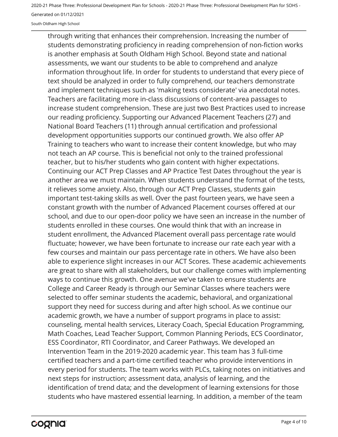South Oldham High School

through writing that enhances their comprehension. Increasing the number of students demonstrating proficiency in reading comprehension of non-fiction works is another emphasis at South Oldham High School. Beyond state and national assessments, we want our students to be able to comprehend and analyze information throughout life. In order for students to understand that every piece of text should be analyzed in order to fully comprehend, our teachers demonstrate and implement techniques such as 'making texts considerate' via anecdotal notes. Teachers are facilitating more in-class discussions of content-area passages to increase student comprehension. These are just two Best Practices used to increase our reading proficiency. Supporting our Advanced Placement Teachers (27) and National Board Teachers (11) through annual certification and professional development opportunities supports our continued growth. We also offer AP Training to teachers who want to increase their content knowledge, but who may not teach an AP course. This is beneficial not only to the trained professional teacher, but to his/her students who gain content with higher expectations. Continuing our ACT Prep Classes and AP Practice Test Dates throughout the year is another area we must maintain. When students understand the format of the tests, it relieves some anxiety. Also, through our ACT Prep Classes, students gain important test-taking skills as well. Over the past fourteen years, we have seen a constant growth with the number of Advanced Placement courses offered at our school, and due to our open-door policy we have seen an increase in the number of students enrolled in these courses. One would think that with an increase in student enrollment, the Advanced Placement overall pass percentage rate would fluctuate; however, we have been fortunate to increase our rate each year with a few courses and maintain our pass percentage rate in others. We have also been able to experience slight increases in our ACT Scores. These academic achievements are great to share with all stakeholders, but our challenge comes with implementing ways to continue this growth. One avenue we've taken to ensure students are College and Career Ready is through our Seminar Classes where teachers were selected to offer seminar students the academic, behavioral, and organizational support they need for success during and after high school. As we continue our academic growth, we have a number of support programs in place to assist: counseling, mental health services, Literacy Coach, Special Education Programming, Math Coaches, Lead Teacher Support, Common Planning Periods, ECS Coordinator, ESS Coordinator, RTI Coordinator, and Career Pathways. We developed an Intervention Team in the 2019-2020 academic year. This team has 3 full-time certified teachers and a part-time certified teacher who provide interventions in every period for students. The team works with PLCs, taking notes on initiatives and next steps for instruction; assessment data, analysis of learning, and the identification of trend data; and the development of learning extensions for those students who have mastered essential learning. In addition, a member of the team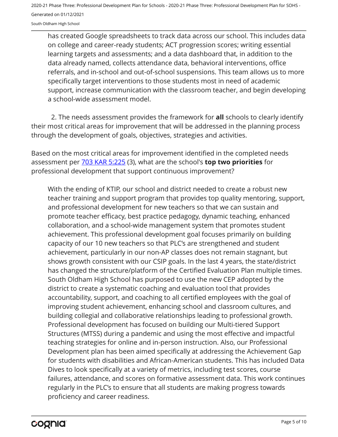has created Google spreadsheets to track data across our school. This includes data on college and career-ready students; ACT progression scores; writing essential learning targets and assessments; and a data dashboard that, in addition to the data already named, collects attendance data, behavioral interventions, office referrals, and in-school and out-of-school suspensions. This team allows us to more specifically target interventions to those students most in need of academic support, increase communication with the classroom teacher, and begin developing a school-wide assessment model.

2. The needs assessment provides the framework for **all** schools to clearly identify their most critical areas for improvement that will be addressed in the planning process through the development of goals, objectives, strategies and activities.

Based on the most critical areas for improvement identified in the completed needs assessment per [703 KAR 5:225](https://apps.legislature.ky.gov/law/kar/703/005/225.pdf) (3), what are the school's **top two priorities** for professional development that support continuous improvement?

With the ending of KTIP, our school and district needed to create a robust new teacher training and support program that provides top quality mentoring, support, and professional development for new teachers so that we can sustain and promote teacher efficacy, best practice pedagogy, dynamic teaching, enhanced collaboration, and a school-wide management system that promotes student achievement. This professional development goal focuses primarily on building capacity of our 10 new teachers so that PLC's are strengthened and student achievement, particularly in our non-AP classes does not remain stagnant, but shows growth consistent with our CSIP goals. In the last 4 years, the state/district has changed the structure/platform of the Certified Evaluation Plan multiple times. South Oldham High School has purposed to use the new CEP adopted by the district to create a systematic coaching and evaluation tool that provides accountability, support, and coaching to all certified employees with the goal of improving student achievement, enhancing school and classroom cultures, and building collegial and collaborative relationships leading to professional growth. Professional development has focused on building our Multi-tiered Support Structures (MTSS) during a pandemic and using the most effective and impactful teaching strategies for online and in-person instruction. Also, our Professional Development plan has been aimed specifically at addressing the Achievement Gap for students with disabilities and African-American students. This has included Data Dives to look specifically at a variety of metrics, including test scores, course failures, attendance, and scores on formative assessment data. This work continues regularly in the PLC's to ensure that all students are making progress towards proficiency and career readiness.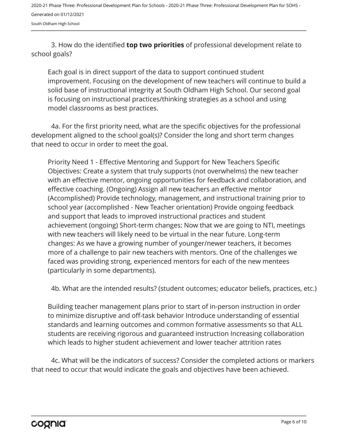3. How do the identified **top two priorities** of professional development relate to school goals?

Each goal is in direct support of the data to support continued student improvement. Focusing on the development of new teachers will continue to build a solid base of instructional integrity at South Oldham High School. Our second goal is focusing on instructional practices/thinking strategies as a school and using model classrooms as best practices.

4a. For the first priority need, what are the specific objectives for the professional development aligned to the school goal(s)? Consider the long and short term changes that need to occur in order to meet the goal.

Priority Need 1 - Effective Mentoring and Support for New Teachers Specific Objectives: Create a system that truly supports (not overwhelms) the new teacher with an effective mentor, ongoing opportunities for feedback and collaboration, and effective coaching. (Ongoing) Assign all new teachers an effective mentor (Accomplished) Provide technology, management, and instructional training prior to school year (accomplished - New Teacher orientation) Provide ongoing feedback and support that leads to improved instructional practices and student achievement (ongoing) Short-term changes: Now that we are going to NTI, meetings with new teachers will likely need to be virtual in the near future. Long-term changes: As we have a growing number of younger/newer teachers, it becomes more of a challenge to pair new teachers with mentors. One of the challenges we faced was providing strong, experienced mentors for each of the new mentees (particularly in some departments).

4b. What are the intended results? (student outcomes; educator beliefs, practices, etc.)

Building teacher management plans prior to start of in-person instruction in order to minimize disruptive and off-task behavior Introduce understanding of essential standards and learning outcomes and common formative assessments so that ALL students are receiving rigorous and guaranteed instruction Increasing collaboration which leads to higher student achievement and lower teacher attrition rates

4c. What will be the indicators of success? Consider the completed actions or markers that need to occur that would indicate the goals and objectives have been achieved.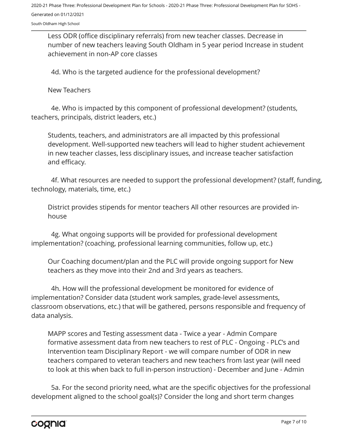South Oldham High School

Less ODR (office disciplinary referrals) from new teacher classes. Decrease in number of new teachers leaving South Oldham in 5 year period Increase in student achievement in non-AP core classes

4d. Who is the targeted audience for the professional development?

New Teachers

4e. Who is impacted by this component of professional development? (students, teachers, principals, district leaders, etc.)

Students, teachers, and administrators are all impacted by this professional development. Well-supported new teachers will lead to higher student achievement in new teacher classes, less disciplinary issues, and increase teacher satisfaction and efficacy.

4f. What resources are needed to support the professional development? (staff, funding, technology, materials, time, etc.)

District provides stipends for mentor teachers All other resources are provided inhouse

4g. What ongoing supports will be provided for professional development implementation? (coaching, professional learning communities, follow up, etc.)

Our Coaching document/plan and the PLC will provide ongoing support for New teachers as they move into their 2nd and 3rd years as teachers.

4h. How will the professional development be monitored for evidence of implementation? Consider data (student work samples, grade-level assessments, classroom observations, etc.) that will be gathered, persons responsible and frequency of data analysis.

MAPP scores and Testing assessment data - Twice a year - Admin Compare formative assessment data from new teachers to rest of PLC - Ongoing - PLC's and Intervention team Disciplinary Report - we will compare number of ODR in new teachers compared to veteran teachers and new teachers from last year (will need to look at this when back to full in-person instruction) - December and June - Admin

5a. For the second priority need, what are the specific objectives for the professional development aligned to the school goal(s)? Consider the long and short term changes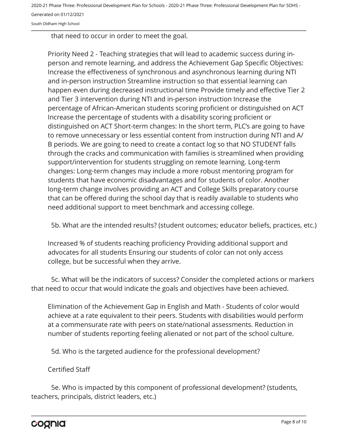South Oldham High School

that need to occur in order to meet the goal.

Priority Need 2 - Teaching strategies that will lead to academic success during inperson and remote learning, and address the Achievement Gap Specific Objectives: Increase the effectiveness of synchronous and asynchronous learning during NTI and in-person instruction Streamline instruction so that essential learning can happen even during decreased instructional time Provide timely and effective Tier 2 and Tier 3 intervention during NTI and in-person instruction Increase the percentage of African-American students scoring proficient or distinguished on ACT Increase the percentage of students with a disability scoring proficient or distinguished on ACT Short-term changes: In the short term, PLC's are going to have to remove unnecessary or less essential content from instruction during NTI and A/ B periods. We are going to need to create a contact log so that NO STUDENT falls through the cracks and communication with families is streamlined when providing support/intervention for students struggling on remote learning. Long-term changes: Long-term changes may include a more robust mentoring program for students that have economic disadvantages and for students of color. Another long-term change involves providing an ACT and College Skills preparatory course that can be offered during the school day that is readily available to students who need additional support to meet benchmark and accessing college.

5b. What are the intended results? (student outcomes; educator beliefs, practices, etc.)

Increased % of students reaching proficiency Providing additional support and advocates for all students Ensuring our students of color can not only access college, but be successful when they arrive.

5c. What will be the indicators of success? Consider the completed actions or markers that need to occur that would indicate the goals and objectives have been achieved.

Elimination of the Achievement Gap in English and Math - Students of color would achieve at a rate equivalent to their peers. Students with disabilities would perform at a commensurate rate with peers on state/national assessments. Reduction in number of students reporting feeling alienated or not part of the school culture.

5d. Who is the targeted audience for the professional development?

#### Certified Staff

5e. Who is impacted by this component of professional development? (students, teachers, principals, district leaders, etc.)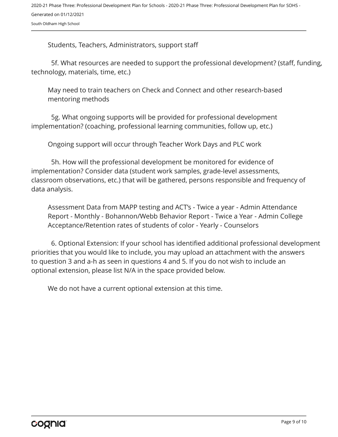Students, Teachers, Administrators, support staff

5f. What resources are needed to support the professional development? (staff, funding, technology, materials, time, etc.)

May need to train teachers on Check and Connect and other research-based mentoring methods

5g. What ongoing supports will be provided for professional development implementation? (coaching, professional learning communities, follow up, etc.)

Ongoing support will occur through Teacher Work Days and PLC work

5h. How will the professional development be monitored for evidence of implementation? Consider data (student work samples, grade-level assessments, classroom observations, etc.) that will be gathered, persons responsible and frequency of data analysis.

Assessment Data from MAPP testing and ACT's - Twice a year - Admin Attendance Report - Monthly - Bohannon/Webb Behavior Report - Twice a Year - Admin College Acceptance/Retention rates of students of color - Yearly - Counselors

6. Optional Extension: If your school has identified additional professional development priorities that you would like to include, you may upload an attachment with the answers to question 3 and a-h as seen in questions 4 and 5. If you do not wish to include an optional extension, please list N/A in the space provided below.

We do not have a current optional extension at this time.